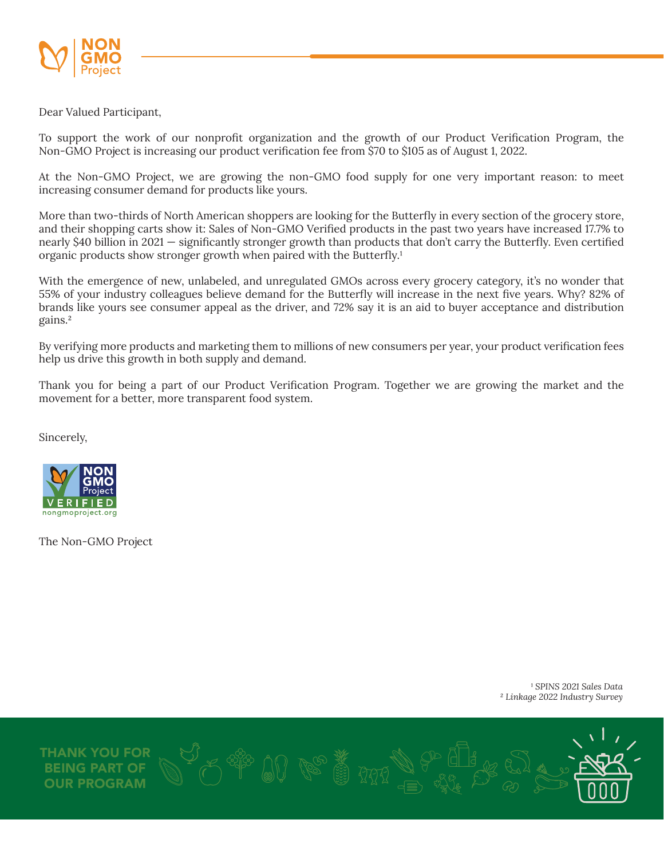

Dear Valued Participant,

To support the work of our nonprofit organization and the growth of our Product Verification Program, the Non-GMO Project is increasing our product verification fee from \$70 to \$105 as of August 1, 2022.

At the Non-GMO Project, we are growing the non-GMO food supply for one very important reason: to meet increasing consumer demand for products like yours.

More than two-thirds of North American shoppers are looking for the Butterfly in every section of the grocery store, and their shopping carts show it: Sales of Non-GMO Verified products in the past two years have increased 17.7% to nearly \$40 billion in 2021 — significantly stronger growth than products that don't carry the Butterfly. Even certified organic products show stronger growth when paired with the Butterfly.<sup>1</sup>

With the emergence of new, unlabeled, and unregulated GMOs across every grocery category, it's no wonder that 55% of your industry colleagues believe demand for the Butterfly will increase in the next five years. Why? 82% of brands like yours see consumer appeal as the driver, and 72% say it is an aid to buyer acceptance and distribution gains.²

By verifying more products and marketing them to millions of new consumers per year, your product verification fees help us drive this growth in both supply and demand.

Thank you for being a part of our Product Verification Program. Together we are growing the market and the movement for a better, more transparent food system.

Sincerely,



The Non-GMO Project

*¹ SPINS 2021 Sales Data ² Linkage 2022 Industry Survey*